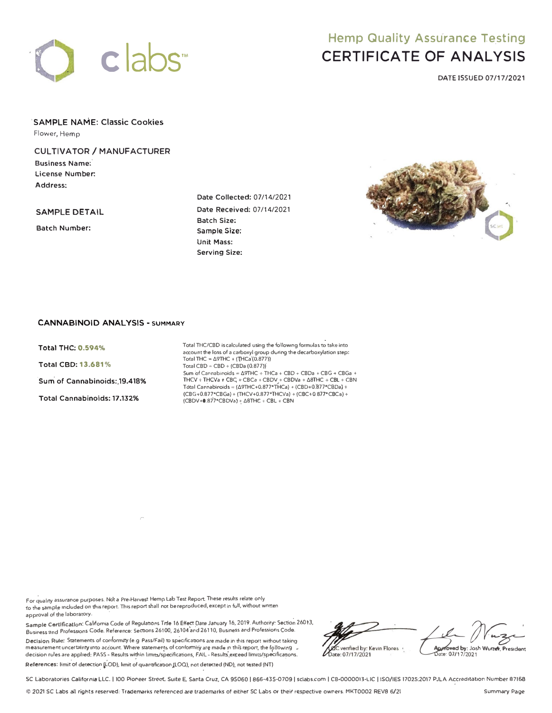

# **Hemp Quality Assurance Testing** CERTIFICATE OF ANALYSIS

DATE ISSUED 07/17/2021

**'SAMPLE NAME: Classic Cookies Flower, Hemp** 

# **CULTIVATOR/ MANUFACTURER**

Business Name: **License Number. Address:** 

**SAMPLE DETAIL** 

**Batch Number:** 

**Date Collected:** 07/14/2021 **Date .Received:** 07/14/2021 **Batch Size: Sample. Size: Unit Mass: Serving Size:** 



## **CANNABINOID ANALYSIS· SUMMARY**

**Total THC: 0.594% Total** CBD: **13.681%** 

**·sum' of Cannabinoids:,19.418%** 

**Total Cannabinoids:,17.132%** 

Total THC/CBD is calculated using the following formulas to take into account the loss of a carboxyl group during the decarboxylation step:  $Total THE = \Delta 9THC + (THCa'(0.877))$  $Total CBD = CBD + (CBDa (0.877))'$ Sum of Cannabinoids =  $\Delta$ 9THC + THCa + CBD + CBDa + CBG + CBGa +<br>THCV + THCVa + CBC<sub>i</sub> + CBCa + CBDV<sub>-</sub>+ CBDVa +  $\Delta$ 8THC + CBL + CBN Tótal Cannabinoids = ( $\Delta$ 9THC+0.877\*THCa) + (CBD+0.877\*CBDa) + (CBG+0.B77'CBGa) + (THCV+0.877'THCVa) + (CBC+0.B77'CBCa) + (CBDV+0.877'CBDVa) "; l>BTH€ **+** CBL **+** CBN

For quality assurance purposes. Not a Pre-Harvest Hemp Lab Test Report. These results relate only to the sample included on this report. This report shall not be reproduced, except in full, without wntten approval of **the** laboratory. ·

*r* 

Sample Certlfication: California Code of Regulations Trile 16 Effect Date January 16, 2019. Authority: Section 26013, Business-and Professions Code. Reference: Secoons 26100, 26104 and 26110, Business and Professlons Code.

Decision Rule: Statements of conformity (e.g Pass/Fail) to specifications are made in this report without taking measurement uncertainty into account. Where statements of conformity are made in this report, the **following** <sub>•</sub> decision rules are applied: PASS - Results within limits/specifications, FA)L - Results exceed limits/specifications.<br>.

 $\sf {References:}\; limit$  of detection (LOD), limit of quantification (LOQ), not detected (ND), not tested (NT) \_

A Muzeo Muzeo 1991 verified by: Kevin Flores bate: 07/17/2021

SC Laboratories California LLC. | 100 Pioneer Street, Suite E, Santa Cruz, CA 95060 | 866-435-0709 | sclabs.com | CB-0000013-LIC | ISO/IES 17025:2017 PJLA Accreditation Number 87168

© ,t021 **SC Labs all rights reserved: Trademarks referenced am trademarks or either** SC **Labs or theif respective owners.** MKT0002 **REVS** 6/21 **Summary Page**